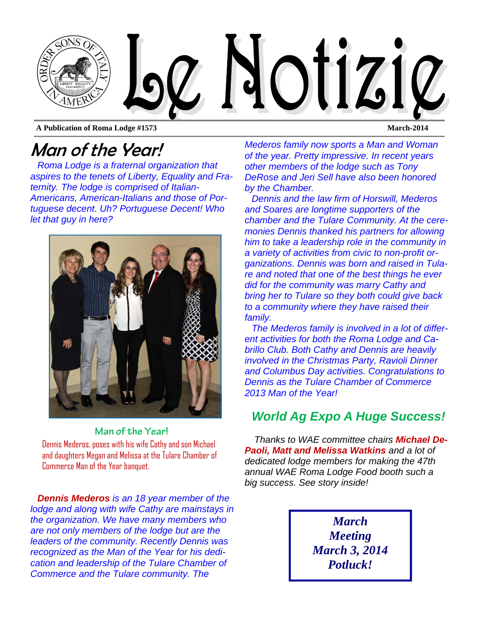

**A Publication of Roma Lodge #1573 March-2014** 

## Man of the Year!

*Roma Lodge is a fraternal organization that aspires to the tenets of Liberty, Equality and Fraternity. The lodge is comprised of Italian-Americans, American-Italians and those of Portuguese decent. Uh? Portuguese Decent! Who let that guy in here?* 



**Man of the Year!**  Dennis Mederos, poses with his wife Cathy and son Michael and daughters Megan and Melissa at the Tulare Chamber of Commerce Man of the Year banquet.

*Dennis Mederos is an 18 year member of the lodge and along with wife Cathy are mainstays in the organization. We have many members who are not only members of the lodge but are the leaders of the community. Recently Dennis was recognized as the Man of the Year for his dedication and leadership of the Tulare Chamber of Commerce and the Tulare community. The* 

*Mederos family now sports a Man and Woman of the year. Pretty impressive. In recent years other members of the lodge such as Tony DeRose and Jeri Sell have also been honored by the Chamber.* 

*Dennis and the law firm of Horswill, Mederos and Soares are longtime supporters of the chamber and the Tulare Community. At the ceremonies Dennis thanked his partners for allowing him to take a leadership role in the community in a variety of activities from civic to non-profit organizations. Dennis was born and raised in Tulare and noted that one of the best things he ever did for the community was marry Cathy and bring her to Tulare so they both could give back to a community where they have raised their family.* 

*The Mederos family is involved in a lot of different activities for both the Roma Lodge and Cabrillo Club. Both Cathy and Dennis are heavily involved in the Christmas Party, Ravioli Dinner and Columbus Day activities. Congratulations to Dennis as the Tulare Chamber of Commerce 2013 Man of the Year!* 

### *World Ag Expo A Huge Success!*

*Thanks to WAE committee chairs Michael De-Paoli, Matt and Melissa Watkins and a lot of dedicated lodge members for making the 47th annual WAE Roma Lodge Food booth such a big success. See story inside!* 

> *March Meeting March 3, 2014 Potluck!*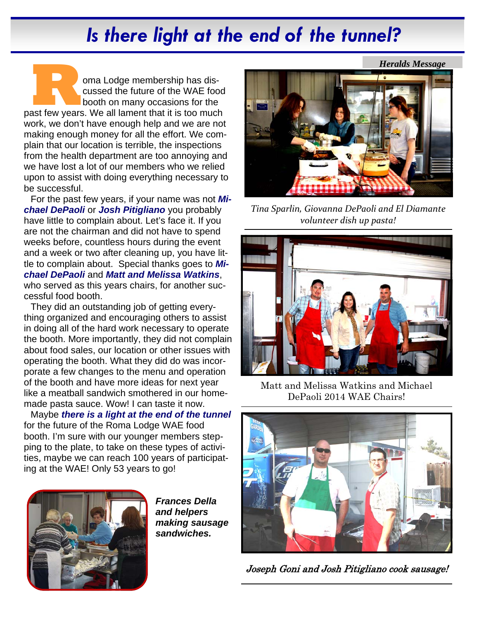# *Is there light at the end of the tunnel?*

**R DEPARTMENT COMBET ON A BUDGE MEDITION CONSECUTS ON A BUT A POST OF THE PAST FEW YEARS. We all lament that it is too much** cussed the future of the WAE food booth on many occasions for the work, we don't have enough help and we are not making enough money for all the effort. We complain that our location is terrible, the inspections from the health department are too annoying and we have lost a lot of our members who we relied upon to assist with doing everything necessary to be successful.

For the past few years, if your name was not *Michael DePaoli* or *Josh Pitigliano* you probably have little to complain about. Let's face it. If you are not the chairman and did not have to spend weeks before, countless hours during the event and a week or two after cleaning up, you have little to complain about. Special thanks goes to *Michael DePaoli* and *Matt and Melissa Watkins*, who served as this years chairs, for another successful food booth.

They did an outstanding job of getting everything organized and encouraging others to assist in doing all of the hard work necessary to operate the booth. More importantly, they did not complain about food sales, our location or other issues with operating the booth. What they did do was incorporate a few changes to the menu and operation of the booth and have more ideas for next year like a meatball sandwich smothered in our homemade pasta sauce. Wow! I can taste it now.

Maybe *there is a light at the end of the tunnel*  for the future of the Roma Lodge WAE food booth. I'm sure with our younger members stepping to the plate, to take on these types of activities, maybe we can reach 100 years of participating at the WAE! Only 53 years to go!



*Frances Della and helpers making sausage sandwiches.* 



*Tina Sparlin, Giovanna DePaoli and El Diamante volunteer dish up pasta!*



Matt and Melissa Watkins and Michael DePaoli 2014 WAE Chairs!



Joseph Goni and Josh Pitigliano cook sausage!

*Heralds Message*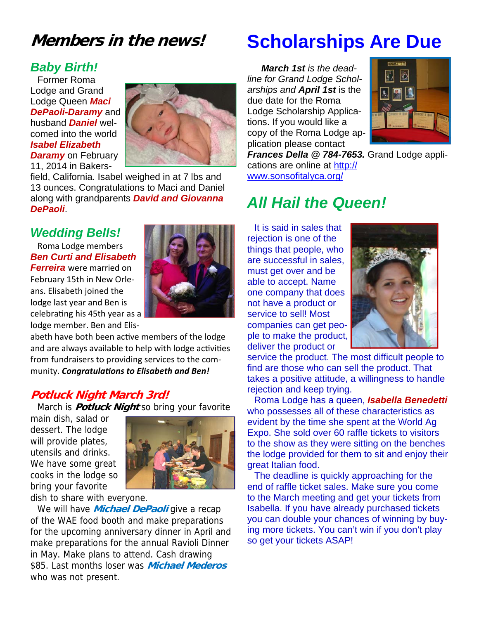## **Members in the news!**

#### *Baby Birth!*

Former Roma Lodge and Grand Lodge Queen *Maci DePaoli-Daramy* and husband *Daniel* welcomed into the world *Isabel Elizabeth Daramy* on February 11, 2014 in Bakers-



field, California. Isabel weighed in at 7 lbs and 13 ounces. Congratulations to Maci and Daniel along with grandparents *David and Giovanna DePaoli*.

#### *Wedding Bells!*

Roma Lodge members *Ben Curti and Elisabeth Ferreira* were married on

February 15th in New Orle‐ ans. Elisabeth joined the lodge last year and Ben is celebrating his 45th year as a lodge member. Ben and Elis‐



abeth have both been active members of the lodge and are always available to help with lodge activities from fundraisers to providing services to the com‐ munity. *CongratulaƟons to Elisabeth and Ben!* 

#### **Potluck Night March 3rd!**

March is **Potluck Night** so bring your favorite

main dish, salad or dessert. The lodge will provide plates, utensils and drinks. We have some great cooks in the lodge so bring your favorite



dish to share with everyone.

We will have **Michael DePaoli** give a recap of the WAE food booth and make preparations for the upcoming anniversary dinner in April and make preparations for the annual Ravioli Dinner in May. Make plans to attend. Cash drawing \$85. Last months loser was **Michael Mederos** who was not present.

# **Scholarships Are Due**

*March 1st is the deadline for Grand Lodge Scholarships and April 1st* is the due date for the Roma Lodge Scholarship Applications. If you would like a copy of the Roma Lodge application please contact



*Frances Della @ 784-7653.* Grand Lodge applications are online at http:// www.sonsofitalyca.org/

## *All Hail the Queen!*

It is said in sales that rejection is one of the things that people, who are successful in sales, must get over and be able to accept. Name one company that does not have a product or service to sell! Most companies can get people to make the product, deliver the product or



service the product. The most difficult people to find are those who can sell the product. That takes a positive attitude, a willingness to handle rejection and keep trying.

Roma Lodge has a queen, *Isabella Benedetti*  who possesses all of these characteristics as evident by the time she spent at the World Ag Expo. She sold over 60 raffle tickets to visitors to the show as they were sitting on the benches the lodge provided for them to sit and enjoy their great Italian food.

The deadline is quickly approaching for the end of raffle ticket sales. Make sure you come to the March meeting and get your tickets from Isabella. If you have already purchased tickets you can double your chances of winning by buying more tickets. You can't win if you don't play so get your tickets ASAP!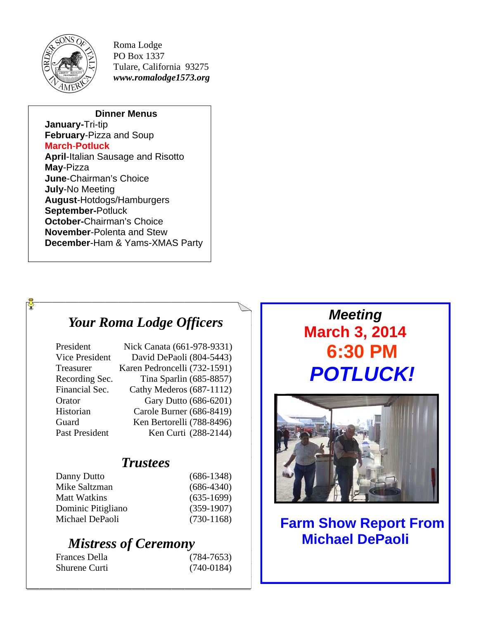

 $\frac{1}{2}$ 

Roma Lodge PO Box 1337 Tulare, California 93275 *www.romalodge1573.org* 

#### **Dinner Menus**

**January-**Tri-tip **February**-Pizza and Soup **March**-**Potluck April**-Italian Sausage and Risotto **May**-Pizza **June**-Chairman's Choice **July**-No Meeting **August**-Hotdogs/Hamburgers

**September-**Potluck **October-**Chairman's Choice

**November**-Polenta and Stew **December**-Ham & Yams-XMAS Party

## *Your Roma Lodge Officers*

| President             | Nick Canata (661-978-9331)   |
|-----------------------|------------------------------|
| Vice President        | David DePaoli (804-5443)     |
| Treasurer             | Karen Pedroncelli (732-1591) |
| Recording Sec.        | Tina Sparlin (685-8857)      |
| Financial Sec.        | Cathy Mederos (687-1112)     |
| Orator                | Gary Dutto (686-6201)        |
| Historian             | Carole Burner (686-8419)     |
| Guard                 | Ken Bertorelli (788-8496)    |
| <b>Past President</b> | Ken Curti (288-2144)         |

#### *Trustees*

| $(686-1348)$ |
|--------------|
| $(686-4340)$ |
| $(635-1699)$ |
| $(359-1907)$ |
| $(730-1168)$ |
|              |

## *Mistress of Ceremony*

| Frances Della | $(784 - 7653)$ |
|---------------|----------------|
| Shurene Curti | $(740-0184)$   |

## *Meeting*  **March 3, 2014 6:30 PM** *POTLUCK!*



**Farm Show Report From Michael DePaoli**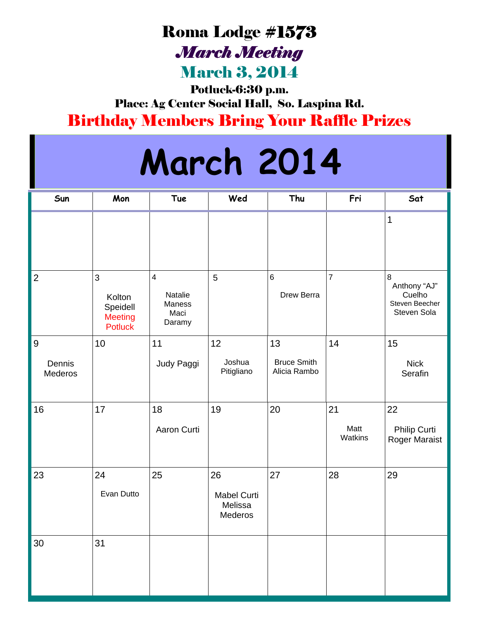# Roma Lodge #1573 *March Meeting*

March 3, 2014

Potluck-6:30 p.m.

Place: Ag Center Social Hall, So. Laspina Rd. Birthday Members Bring Your Raffle Prizes

# **March 2014**

| Sun                      | Mon                                                         | Tue                                                            | Wed                                            | Thu                                      | Fri                   | Sat                                                                |
|--------------------------|-------------------------------------------------------------|----------------------------------------------------------------|------------------------------------------------|------------------------------------------|-----------------------|--------------------------------------------------------------------|
|                          |                                                             |                                                                |                                                |                                          |                       | 1                                                                  |
| $\overline{2}$           | 3<br>Kolton<br>Speidell<br><b>Meeting</b><br><b>Potluck</b> | $\overline{\mathbf{4}}$<br>Natalie<br>Maness<br>Maci<br>Daramy | 5                                              | $6\phantom{a}$<br>Drew Berra             | $\overline{7}$        | $\,8\,$<br>Anthony "AJ"<br>Cuelho<br>Steven Beecher<br>Steven Sola |
| $9$<br>Dennis<br>Mederos | 10                                                          | 11<br>Judy Paggi                                               | 12<br>Joshua<br>Pitigliano                     | 13<br><b>Bruce Smith</b><br>Alicia Rambo | 14                    | 15<br><b>Nick</b><br>Serafin                                       |
| 16                       | 17                                                          | 18<br>Aaron Curti                                              | 19                                             | 20                                       | 21<br>Matt<br>Watkins | 22<br>Philip Curti<br>Roger Maraist                                |
| 23                       | 24<br>Evan Dutto                                            | 25                                                             | 26<br><b>Mabel Curti</b><br>Melissa<br>Mederos | 27                                       | 28                    | 29                                                                 |
| $30\,$                   | 31                                                          |                                                                |                                                |                                          |                       |                                                                    |